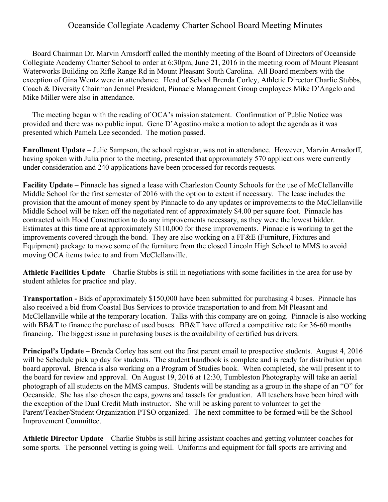## Oceanside Collegiate Academy Charter School Board Meeting Minutes

 Board Chairman Dr. Marvin Arnsdorff called the monthly meeting of the Board of Directors of Oceanside Collegiate Academy Charter School to order at 6:30pm, June 21, 2016 in the meeting room of Mount Pleasant Waterworks Building on Rifle Range Rd in Mount Pleasant South Carolina. All Board members with the exception of Gina Wentz were in attendance. Head of School Brenda Corley, Athletic Director Charlie Stubbs, Coach & Diversity Chairman Jermel President, Pinnacle Management Group employees Mike D'Angelo and Mike Miller were also in attendance.

 The meeting began with the reading of OCA's mission statement. Confirmation of Public Notice was provided and there was no public input. Gene D'Agostino make a motion to adopt the agenda as it was presented which Pamela Lee seconded. The motion passed.

**Enrollment Update** – Julie Sampson, the school registrar, was not in attendance. However, Marvin Arnsdorff, having spoken with Julia prior to the meeting, presented that approximately 570 applications were currently under consideration and 240 applications have been processed for records requests.

**Facility Update** – Pinnacle has signed a lease with Charleston County Schools for the use of McClellanville Middle School for the first semester of 2016 with the option to extent if necessary. The lease includes the provision that the amount of money spent by Pinnacle to do any updates or improvements to the McClellanville Middle School will be taken off the negotiated rent of approximately \$4.00 per square foot. Pinnacle has contracted with Hood Construction to do any improvements necessary, as they were the lowest bidder. Estimates at this time are at approximately \$110,000 for these improvements. Pinnacle is working to get the improvements covered through the bond. They are also working on a FF&E (Furniture, Fixtures and Equipment) package to move some of the furniture from the closed Lincoln High School to MMS to avoid moving OCA items twice to and from McClellanville.

**Athletic Facilities Update** – Charlie Stubbs is still in negotiations with some facilities in the area for use by student athletes for practice and play.

**Transportation -** Bids of approximately \$150,000 have been submitted for purchasing 4 buses. Pinnacle has also received a bid from Coastal Bus Services to provide transportation to and from Mt Pleasant and McClellanville while at the temporary location. Talks with this company are on going. Pinnacle is also working with BB&T to finance the purchase of used buses. BB&T have offered a competitive rate for 36-60 months financing. The biggest issue in purchasing buses is the availability of certified bus drivers.

**Principal's Update –** Brenda Corley has sent out the first parent email to prospective students. August 4, 2016 will be Schedule pick up day for students. The student handbook is complete and is ready for distribution upon board approval. Brenda is also working on a Program of Studies book. When completed, she will present it to the board for review and approval. On August 19, 2016 at 12:30, Tumbleston Photography will take an aerial photograph of all students on the MMS campus. Students will be standing as a group in the shape of an "O" for Oceanside. She has also chosen the caps, gowns and tassels for graduation. All teachers have been hired with the exception of the Dual Credit Math instructor. She will be asking parent to volunteer to get the Parent/Teacher/Student Organization PTSO organized. The next committee to be formed will be the School Improvement Committee.

**Athletic Director Update** – Charlie Stubbs is still hiring assistant coaches and getting volunteer coaches for some sports. The personnel vetting is going well. Uniforms and equipment for fall sports are arriving and